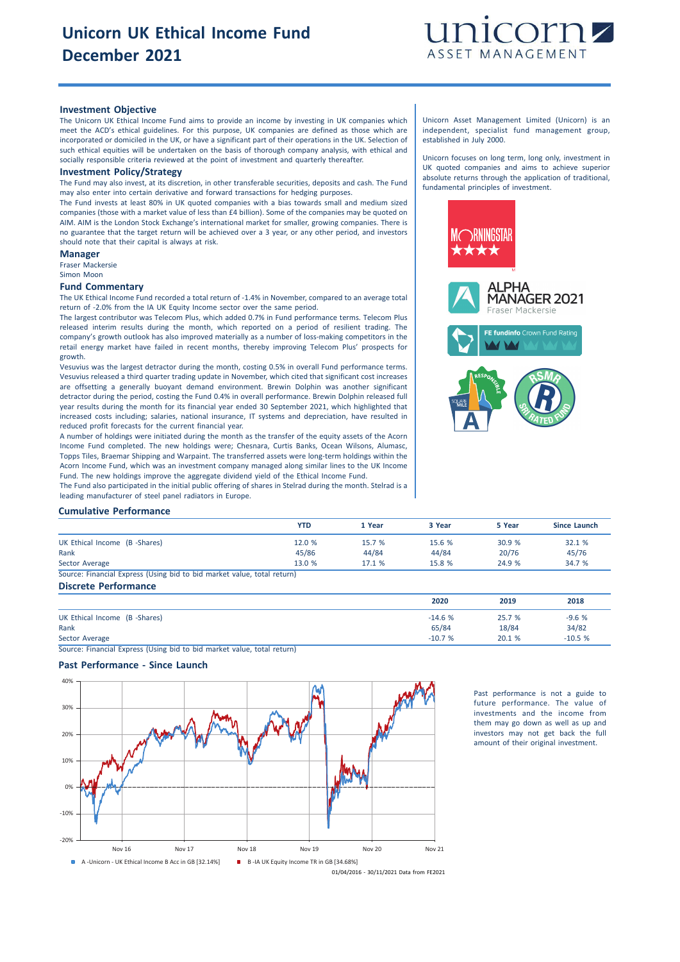

### **Investment Objective**

The Unicorn UK Ethical Income Fund aims to provide an income by investing in UK companies which meet the ACD's ethical guidelines. For this purpose, UK companies are defined as those which are incorporated or domiciled in the UK, or have a significant part of their operations in the UK. Selection of such ethical equities will be undertaken on the basis of thorough company analysis, with ethical and socially responsible criteria reviewed at the point of investment and quarterly thereafter.

#### **Investment Policy/Strategy**

The Fund may also invest, at its discretion, in other transferable securities, deposits and cash. The Fund may also enter into certain derivative and forward transactions for hedging purposes.

The Fund invests at least 80% in UK quoted companies with a bias towards small and medium sized companies (those with a market value of less than £4 billion). Some of the companies may be quoted on AIM. AIM is the London Stock Exchange's international market for smaller, growing companies. There is no guarantee that the target return will be achieved over a 3 year, or any other period, and investors should note that their capital is always at risk.

#### **Manager**

Fraser Mackersie Simon Moon

## **Fund Commentary**

The UK Ethical Income Fund recorded a total return of -1.4% in November, compared to an average total return of -2.0% from the IA UK Equity Income sector over the same period.

The largest contributor was Telecom Plus, which added 0.7% in Fund performance terms. Telecom Plus released interim results during the month, which reported on a period of resilient trading. The company's growth outlook has also improved materially as a number of loss-making competitors in the retail energy market have failed in recent months, thereby improving Telecom Plus' prospects for growth.

Vesuvius was the largest detractor during the month, costing 0.5% in overall Fund performance terms. Vesuvius released a third quarter trading update in November, which cited that significant cost increases are offsetting a generally buoyant demand environment. Brewin Dolphin was another significant detractor during the period, costing the Fund 0.4% in overall performance. Brewin Dolphin released full year results during the month for its financial year ended 30 September 2021, which highlighted that increased costs including; salaries, national insurance, IT systems and depreciation, have resulted in reduced profit forecasts for the current financial year.

A number of holdings were initiated during the month as the transfer of the equity assets of the Acorn Income Fund completed. The new holdings were; Chesnara, Curtis Banks, Ocean Wilsons, Alumasc, Topps Tiles, Braemar Shipping and Warpaint. The transferred assets were long-term holdings within the Acorn Income Fund, which was an investment company managed along similar lines to the UK Income Fund. The new holdings improve the aggregate dividend yield of the Ethical Income Fund.

The Fund also participated in the initial public offering of shares in Stelrad during the month. Stelrad is a leading manufacturer of steel panel radiators in Europe.

#### Unicorn Asset Management Limited (Unicorn) is an independent, specialist fund management group, established in July 2000.

Unicorn focuses on long term, long only, investment in UK quoted companies and aims to achieve superior absolute returns through the application of traditional, fundamental principles of investment.



# **Cumulative Performance**

|                                                                         | <b>YTD</b> | 1 Year | 3 Year | 5 Year | Since Launch |
|-------------------------------------------------------------------------|------------|--------|--------|--------|--------------|
| UK Ethical Income (B -Shares)                                           | 12.0 %     | 15.7 % | 15.6 % | 30.9%  | 32.1 %       |
| Rank                                                                    | 45/86      | 44/84  | 44/84  | 20/76  | 45/76        |
| Sector Average                                                          | 13.0 %     | 17.1 % | 15.8 % | 24.9 % | 34.7 %       |
| Source: Financial Express (Using bid to bid market value, total return) |            |        |        |        |              |
|                                                                         |            |        |        |        |              |

# **Discrete Performance**

|                               | 2020     | 2019   | 2018     |
|-------------------------------|----------|--------|----------|
| UK Ethical Income (B -Shares) | $-14.6%$ | 25.7 % | $-9.6%$  |
| Rank                          | 65/84    | 18/84  | 34/82    |
| Sector Average                | $-10.7%$ | 20.1 % | $-10.5%$ |

Source: Financial Express (Using bid to bid market value, total return)

# **Past Performance - Since Launch**



Past performance is not a guide to future performance. The value of investments and the income from them may go down as well as up and investors may not get back the full amount of their original investment.